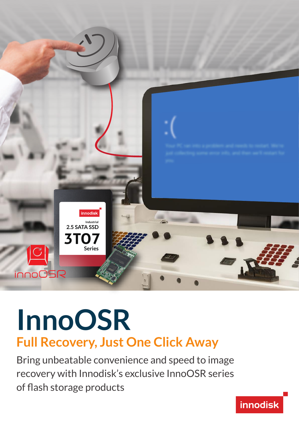

# **Full Recovery, Just One Click Away InnoOSR**

Bring unbeatable convenience and speed to image recovery with Innodisk's exclusive InnoOSR series of flash storage products

**innodisk**